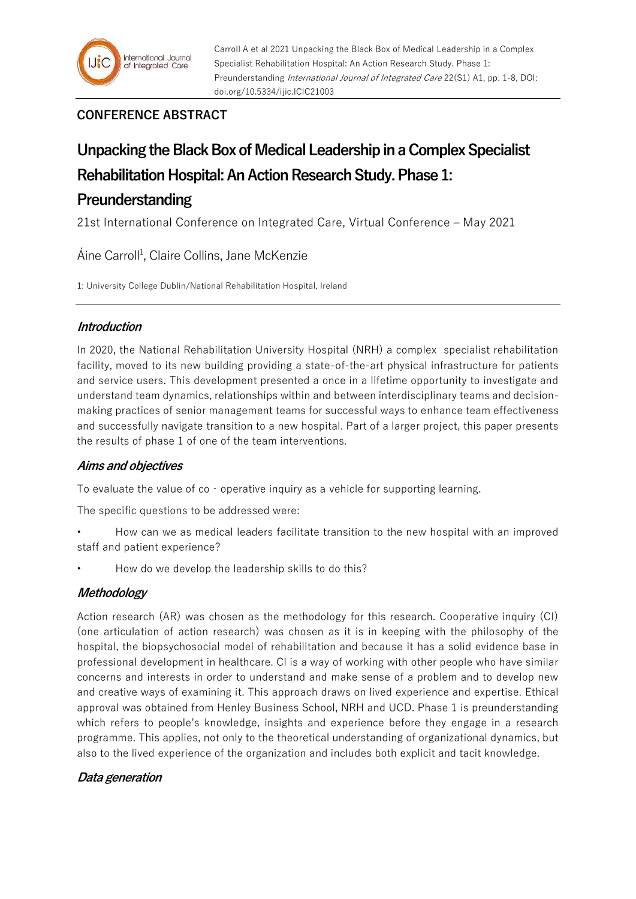# **CONFERENCE ABSTRACT**

# **Unpacking the Black Box of Medical Leadership in a Complex Specialist Rehabilitation Hospital: An Action Research Study. Phase 1: Preunderstanding**

21st International Conference on Integrated Care, Virtual Conference – May 2021

Áine Carroll<sup>1</sup>, Claire Collins, Jane McKenzie

1: University College Dublin/National Rehabilitation Hospital, Ireland

## **Introduction**

In 2020, the National Rehabilitation University Hospital (NRH) a complex specialist rehabilitation facility, moved to its new building providing a state-of-the-art physical infrastructure for patients and service users. This development presented a once in a lifetime opportunity to investigate and understand team dynamics, relationships within and between interdisciplinary teams and decisionmaking practices of senior management teams for successful ways to enhance team effectiveness and successfully navigate transition to a new hospital. Part of a larger project, this paper presents the results of phase 1 of one of the team interventions.

# **Aims and objectives**

To evaluate the value of co - operative inquiry as a vehicle for supporting learning.

The specific questions to be addressed were:

- How can we as medical leaders facilitate transition to the new hospital with an improved staff and patient experience?
- How do we develop the leadership skills to do this?

## **Methodology**

Action research (AR) was chosen as the methodology for this research. Cooperative inquiry (CI) (one articulation of action research) was chosen as it is in keeping with the philosophy of the hospital, the biopsychosocial model of rehabilitation and because it has a solid evidence base in professional development in healthcare. CI is a way of working with other people who have similar concerns and interests in order to understand and make sense of a problem and to develop new and creative ways of examining it. This approach draws on lived experience and expertise. Ethical approval was obtained from Henley Business School, NRH and UCD. Phase 1 is preunderstanding which refers to people's knowledge, insights and experience before they engage in a research programme. This applies, not only to the theoretical understanding of organizational dynamics, but also to the lived experience of the organization and includes both explicit and tacit knowledge.

## **Data generation**